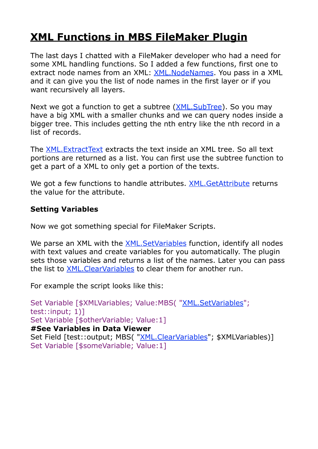## **[XML Functions in MBS FileMaker Plugin](https://www.mbsplugins.de/archive/2016-12-27/New_XML_Functions_in_MBS_FileM)**

The last days I chatted with a FileMaker developer who had a need for some XML handling functions. So I added a few functions, first one to extract node names from an XML: [XML.NodeNames](http://www.mbsplugins.eu/XMLNodeNames.shtml). You pass in a XML and it can give you the list of node names in the first layer or if you want recursively all layers.

Next we got a function to get a subtree (*XML.SubTree*). So you may have a big XML with a smaller chunks and we can query nodes inside a bigger tree. This includes getting the nth entry like the nth record in a list of records.

The [XML.ExtractText](http://www.mbsplugins.eu/XMLExtractText.shtml) extracts the text inside an XML tree. So all text portions are returned as a list. You can first use the subtree function to get a part of a XML to only get a portion of the texts.

We got a few functions to handle attributes. XML. GetAttribute returns the value for the attribute.

## **Setting Variables**

Now we got something special for FileMaker Scripts.

We parse an XML with the **[XML.SetVariables](http://www.mbsplugins.eu/XMLSetVariables.shtml)** function, identify all nodes with text values and create variables for you automatically. The plugin sets those variables and returns a list of the names. Later you can pass the list to [XML.ClearVariables](http://www.mbsplugins.eu/XMLClearVariables.shtml) to clear them for another run.

For example the script looks like this:

Set Variable [\$XMLVariables; Value:MBS( ["XML.SetVariables"](http://www.mbsplugins.eu/XMLSetVariables.shtml); test::input; 1)] Set Variable [\$otherVariable; Value:1] **#See Variables in Data Viewer** Set Field [test::output; MBS( ["XML.ClearVariables"](http://www.mbsplugins.eu/XMLClearVariables.shtml); \$XMLVariables)] Set Variable [\$someVariable; Value:1]